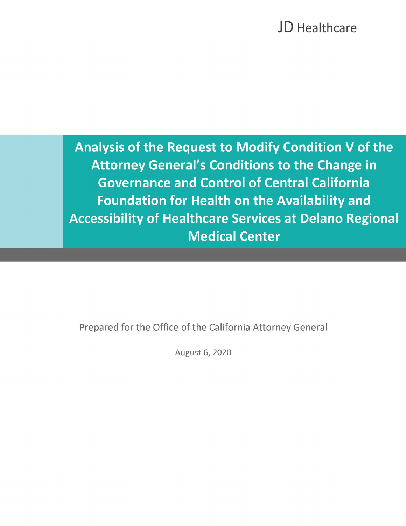**Analysis of the Request to Modify Condition V of the Attorney General's Conditions to the Change in Governance and Control of Central California Foundation for Health on the Availability and Accessibility of Healthcare Services at Delano Regional Medical Center** 

Prepared for the Office of the California Attorney General

August 6, 2020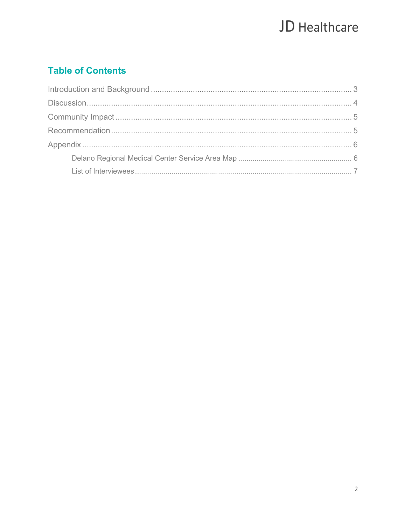### **Table of Contents**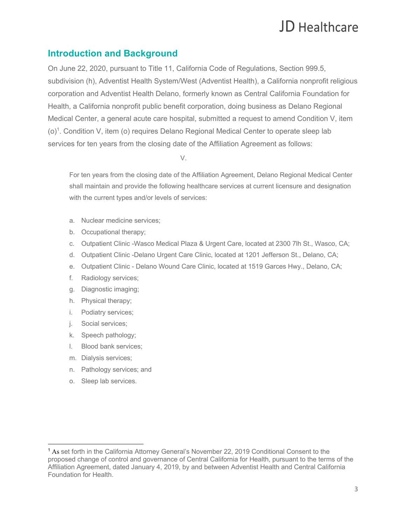### **Introduction and Background**

 On June 22, 2020, pursuant to Title 11, California Code of Regulations, Section 999.5, subdivision (h), Adventist Health System/West (Adventist Health), a California nonprofit religious Health, a California nonprofit public benefit corporation, doing business as Delano Regional Medical Center, a general acute care hospital, submitted a request to amend Condition V, item (o)<sup>1</sup>. Condition V, item (o) requires Delano Regional Medical Center to operate sleep lab services for ten years from the closing date of the Affiliation Agreement as follows: corporation and Adventist Health Delano, formerly known as Central California Foundation for

V.

 For ten years from the closing date of the Affiliation Agreement, Delano Regional Medical Center shall maintain and provide the following healthcare services at current licensure and designation with the current types and/or levels of services:

- a. Nuclear medicine services;
- b. Occupational therapy;
- c. Outpatient Clinic -Wasco Medical Plaza & Urgent Care, located at 2300 7lh St., Wasco, CA;
- d. Outpatient Clinic -Delano Urgent Care Clinic, located at 1201 Jefferson St., Delano, CA;
- e. Outpatient Clinic Delano Wound Care Clinic, located at 1519 Garces Hwy., Delano, CA;
- f. Radiology services;
- g. Diagnostic imaging;
- h. Physical therapy;
- i. Podiatry services;
- j. Social services;
- k. Speech pathology;
- l. Blood bank services;
- m. Dialysis services;
- n. Pathology services; and
- o. Sleep lab services.

<sup>&</sup>lt;sup>1</sup> As set forth in the California Attorney General's November 22, 2019 Conditional Consent to the proposed change of control and governance of Central California for Health, pursuant to the terms of the Affiliation Agreement, dated January 4, 2019, by and between Adventist Health and Central California Foundation for Health.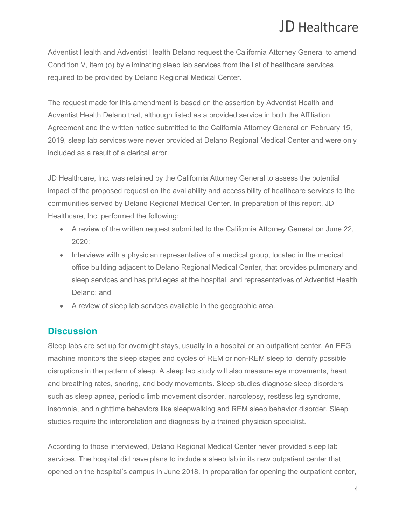Adventist Health and Adventist Health Delano request the California Attorney General to amend Condition V, item (o) by eliminating sleep lab services from the list of healthcare services required to be provided by Delano Regional Medical Center.

 The request made for this amendment is based on the assertion by Adventist Health and Adventist Health Delano that, although listed as a provided service in both the Affiliation Agreement and the written notice submitted to the California Attorney General on February 15, included as a result of a clerical error. 2019, sleep lab services were never provided at Delano Regional Medical Center and were only

 JD Healthcare, Inc. was retained by the California Attorney General to assess the potential impact of the proposed request on the availability and accessibility of healthcare services to the communities served by Delano Regional Medical Center. In preparation of this report, JD Healthcare, Inc. performed the following:

- • A review of the written request submitted to the California Attorney General on June 22, 2020;
- • Interviews with a physician representative of a medical group, located in the medical office building adjacent to Delano Regional Medical Center, that provides pulmonary and sleep services and has privileges at the hospital, and representatives of Adventist Health Delano; and
- A review of sleep lab services available in the geographic area.

### **Discussion**

 Sleep labs are set up for overnight stays, usually in a hospital or an outpatient center. An EEG machine monitors the sleep stages and cycles of REM or non-REM sleep to identify possible disruptions in the pattern of sleep. A sleep lab study will also measure eye movements, heart and breathing rates, snoring, and body movements. Sleep studies diagnose sleep disorders such as sleep apnea, periodic limb movement disorder, narcolepsy, restless leg syndrome, insomnia, and nighttime behaviors like sleepwalking and REM sleep behavior disorder. Sleep studies require the interpretation and diagnosis by a trained physician specialist.

 According to those interviewed, Delano Regional Medical Center never provided sleep lab services. The hospital did have plans to include a sleep lab in its new outpatient center that opened on the hospital's campus in June 2018. In preparation for opening the outpatient center,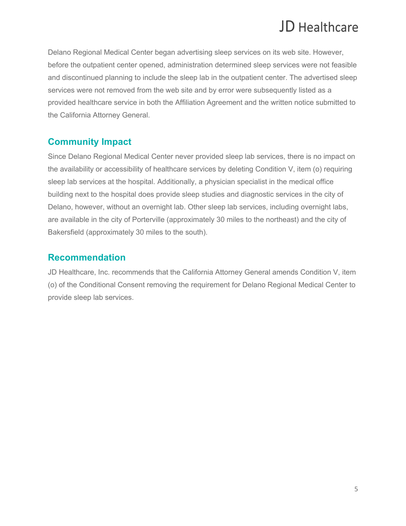Delano Regional Medical Center began advertising sleep services on its web site. However, before the outpatient center opened, administration determined sleep services were not feasible and discontinued planning to include the sleep lab in the outpatient center. The advertised sleep services were not removed from the web site and by error were subsequently listed as a the California Attorney General. provided healthcare service in both the Affiliation Agreement and the written notice submitted to

### **Community Impact**

 Since Delano Regional Medical Center never provided sleep lab services, there is no impact on building next to the hospital does provide sleep studies and diagnostic services in the city of Delano, however, without an overnight lab. Other sleep lab services, including overnight labs, are available in the city of Porterville (approximately 30 miles to the northeast) and the city of Bakersfield (approximately 30 miles to the south). the availability or accessibility of healthcare services by deleting Condition V, item (o) requiring sleep lab services at the hospital. Additionally, a physician specialist in the medical office

### **Recommendation**

 (o) of the Conditional Consent removing the requirement for Delano Regional Medical Center to provide sleep lab services. JD Healthcare, Inc. recommends that the California Attorney General amends Condition V, item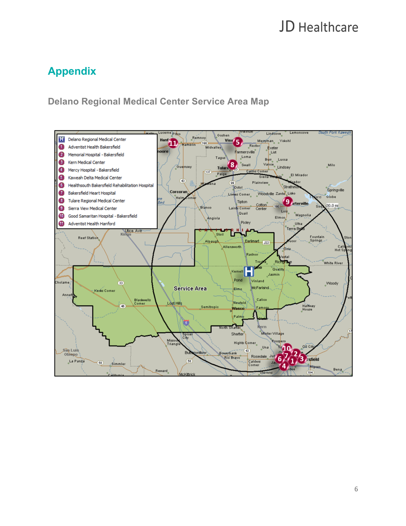### **Appendix**

### **Delano Regional Medical Center Service Area Map**